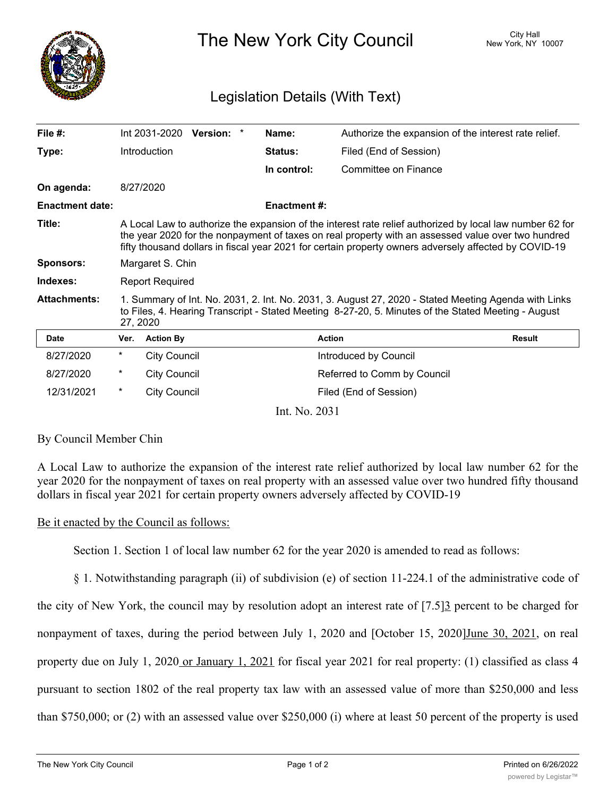

The New York City Council New York, NY 10007

## Legislation Details (With Text)

| File $#$ :             |                                                                                                                                                                                                                                                                                                                         | Int 2031-2020       | <b>Version:</b> | * | Name:               | Authorize the expansion of the interest rate relief. |               |
|------------------------|-------------------------------------------------------------------------------------------------------------------------------------------------------------------------------------------------------------------------------------------------------------------------------------------------------------------------|---------------------|-----------------|---|---------------------|------------------------------------------------------|---------------|
| Type:                  |                                                                                                                                                                                                                                                                                                                         | Introduction        |                 |   | Status:             | Filed (End of Session)                               |               |
|                        |                                                                                                                                                                                                                                                                                                                         |                     |                 |   | In control:         | Committee on Finance                                 |               |
| On agenda:             |                                                                                                                                                                                                                                                                                                                         | 8/27/2020           |                 |   |                     |                                                      |               |
| <b>Enactment date:</b> |                                                                                                                                                                                                                                                                                                                         |                     |                 |   | <b>Enactment #:</b> |                                                      |               |
| Title:                 | A Local Law to authorize the expansion of the interest rate relief authorized by local law number 62 for<br>the year 2020 for the nonpayment of taxes on real property with an assessed value over two hundred<br>fifty thousand dollars in fiscal year 2021 for certain property owners adversely affected by COVID-19 |                     |                 |   |                     |                                                      |               |
| <b>Sponsors:</b>       | Margaret S. Chin                                                                                                                                                                                                                                                                                                        |                     |                 |   |                     |                                                      |               |
| Indexes:               | <b>Report Required</b>                                                                                                                                                                                                                                                                                                  |                     |                 |   |                     |                                                      |               |
| <b>Attachments:</b>    | 1. Summary of Int. No. 2031, 2. Int. No. 2031, 3. August 27, 2020 - Stated Meeting Agenda with Links<br>to Files, 4. Hearing Transcript - Stated Meeting 8-27-20, 5. Minutes of the Stated Meeting - August<br>27, 2020                                                                                                 |                     |                 |   |                     |                                                      |               |
| <b>Date</b>            | Ver.                                                                                                                                                                                                                                                                                                                    | <b>Action By</b>    |                 |   |                     | <b>Action</b>                                        | <b>Result</b> |
| 8/27/2020              | $^\star$                                                                                                                                                                                                                                                                                                                | <b>City Council</b> |                 |   |                     | Introduced by Council                                |               |
| 8/27/2020              | *                                                                                                                                                                                                                                                                                                                       | <b>City Council</b> |                 |   |                     | Referred to Comm by Council                          |               |
| 12/31/2021             | $^\star$                                                                                                                                                                                                                                                                                                                | <b>City Council</b> |                 |   |                     | Filed (End of Session)                               |               |
|                        |                                                                                                                                                                                                                                                                                                                         |                     |                 |   | T . 3T AO 31        |                                                      |               |

Int. No. 2031

## By Council Member Chin

A Local Law to authorize the expansion of the interest rate relief authorized by local law number 62 for the year 2020 for the nonpayment of taxes on real property with an assessed value over two hundred fifty thousand dollars in fiscal year 2021 for certain property owners adversely affected by COVID-19

## Be it enacted by the Council as follows:

Section 1. Section 1 of local law number 62 for the year 2020 is amended to read as follows:

§ 1. Notwithstanding paragraph (ii) of subdivision (e) of section 11-224.1 of the administrative code of the city of New York, the council may by resolution adopt an interest rate of [7.5]3 percent to be charged for nonpayment of taxes, during the period between July 1, 2020 and [October 15, 2020] June 30, 2021, on real property due on July 1, 2020 or January 1, 2021 for fiscal year 2021 for real property: (1) classified as class 4 pursuant to section 1802 of the real property tax law with an assessed value of more than \$250,000 and less than \$750,000; or (2) with an assessed value over \$250,000 (i) where at least 50 percent of the property is used